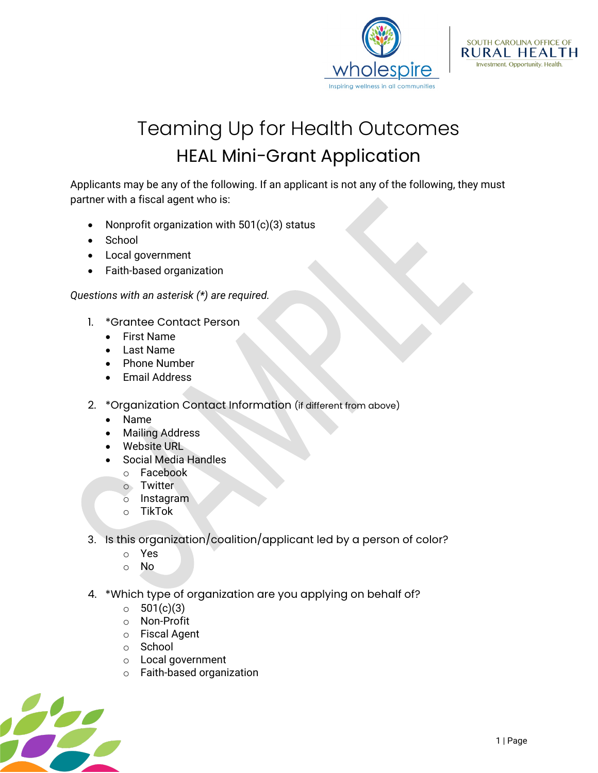



## Teaming Up for Health Outcomes HEAL Mini-Grant Application

Applicants may be any of the following. If an applicant is not any of the following, they must partner with a fiscal agent who is:

- Nonprofit organization with  $501(c)(3)$  status
- **School**
- Local government
- Faith-based organization

*Questions with an asterisk (\*) are required.*

- 1. \*Grantee Contact Person
	- First Name
	- Last Name
	- Phone Number
	- Email Address
- 2. \*Organization Contact Information (if different from above)
	- Name
	- Mailing Address
	- Website URL
	- Social Media Handles
		- o Facebook
		- o Twitter
		- o Instagram
		- o TikTok
- 3. Is this organization/coalition/applicant led by a person of color?
	- o Yes
	- o No
- 4. \*Which type of organization are you applying on behalf of?
	- $\circ$  501(c)(3)
	- o Non-Profit
	- o Fiscal Agent
	- o School
	- o Local government
	- o Faith-based organization